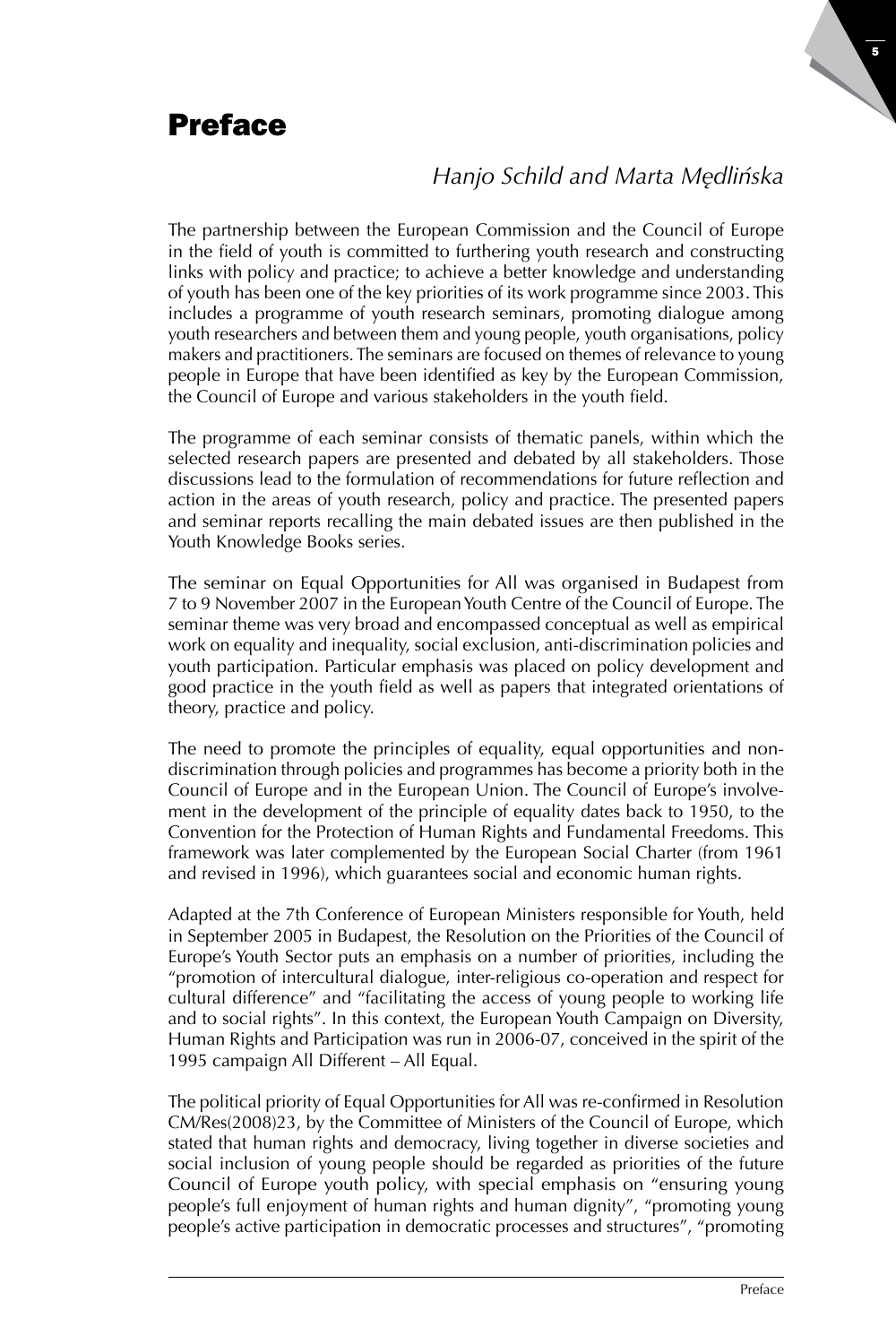# Preface

# *Hanjo Schild and Marta Mędlińska*

The partnership between the European Commission and the Council of Europe in the field of youth is committed to furthering youth research and constructing links with policy and practice; to achieve a better knowledge and understanding of youth has been one of the key priorities of its work programme since 2003. This includes a programme of youth research seminars, promoting dialogue among youth researchers and between them and young people, youth organisations, policy makers and practitioners. The seminars are focused on themes of relevance to young people in Europe that have been identified as key by the European Commission, the Council of Europe and various stakeholders in the youth field.

The programme of each seminar consists of thematic panels, within which the selected research papers are presented and debated by all stakeholders. Those discussions lead to the formulation of recommendations for future reflection and action in the areas of youth research, policy and practice. The presented papers and seminar reports recalling the main debated issues are then published in the Youth Knowledge Books series.

The seminar on Equal Opportunities for All was organised in Budapest from 7 to 9 November 2007 in the European Youth Centre of the Council of Europe. The seminar theme was very broad and encompassed conceptual as well as empirical work on equality and inequality, social exclusion, anti-discrimination policies and youth participation. Particular emphasis was placed on policy development and good practice in the youth field as well as papers that integrated orientations of theory, practice and policy.

The need to promote the principles of equality, equal opportunities and nondiscrimination through policies and programmes has become a priority both in the Council of Europe and in the European Union. The Council of Europe's involvement in the development of the principle of equality dates back to 1950, to the Convention for the Protection of Human Rights and Fundamental Freedoms. This framework was later complemented by the European Social Charter (from 1961 and revised in 1996), which guarantees social and economic human rights.

Adapted at the 7th Conference of European Ministers responsible for Youth, held in September 2005 in Budapest, the Resolution on the Priorities of the Council of Europe's Youth Sector puts an emphasis on a number of priorities, including the "promotion of intercultural dialogue, inter-religious co-operation and respect for cultural difference" and "facilitating the access of young people to working life and to social rights". In this context, the European Youth Campaign on Diversity, Human Rights and Participation was run in 2006-07, conceived in the spirit of the 1995 campaign All Different – All Equal.

The political priority of Equal Opportunities for All was re-confirmed in Resolution CM/Res(2008)23, by the Committee of Ministers of the Council of Europe, which stated that human rights and democracy, living together in diverse societies and social inclusion of young people should be regarded as priorities of the future Council of Europe youth policy, with special emphasis on "ensuring young people's full enjoyment of human rights and human dignity", "promoting young people's active participation in democratic processes and structures", "promoting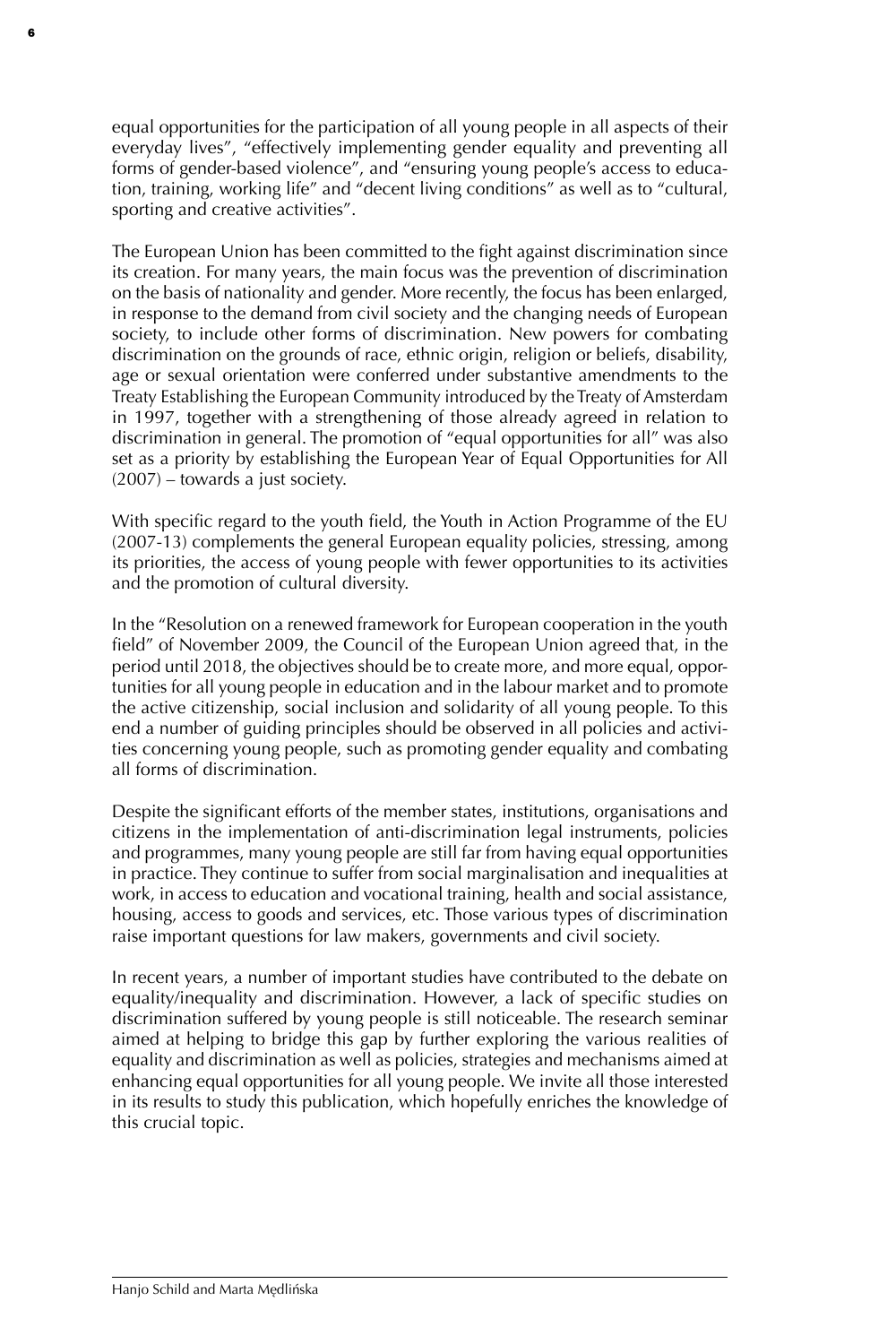equal opportunities for the participation of all young people in all aspects of their everyday lives", "effectively implementing gender equality and preventing all forms of gender-based violence", and "ensuring young people's access to education, training, working life" and "decent living conditions" as well as to "cultural, sporting and creative activities".

6

The European Union has been committed to the fight against discrimination since its creation. For many years, the main focus was the prevention of discrimination on the basis of nationality and gender. More recently, the focus has been enlarged, in response to the demand from civil society and the changing needs of European society, to include other forms of discrimination. New powers for combating discrimination on the grounds of race, ethnic origin, religion or beliefs, disability, age or sexual orientation were conferred under substantive amendments to the Treaty Establishing the European Community introduced by the Treaty of Amsterdam in 1997, together with a strengthening of those already agreed in relation to discrimination in general. The promotion of "equal opportunities for all" was also set as a priority by establishing the European Year of Equal Opportunities for All (2007) – towards a just society.

With specific regard to the youth field, the Youth in Action Programme of the EU (2007-13) complements the general European equality policies, stressing, among its priorities, the access of young people with fewer opportunities to its activities and the promotion of cultural diversity.

In the "Resolution on a renewed framework for European cooperation in the youth field" of November 2009, the Council of the European Union agreed that, in the period until 2018, the objectives should be to create more, and more equal, opportunities for all young people in education and in the labour market and to promote the active citizenship, social inclusion and solidarity of all young people. To this end a number of guiding principles should be observed in all policies and activities concerning young people, such as promoting gender equality and combating all forms of discrimination.

Despite the significant efforts of the member states, institutions, organisations and citizens in the implementation of anti-discrimination legal instruments, policies and programmes, many young people are still far from having equal opportunities in practice. They continue to suffer from social marginalisation and inequalities at work, in access to education and vocational training, health and social assistance, housing, access to goods and services, etc. Those various types of discrimination raise important questions for law makers, governments and civil society.

In recent years, a number of important studies have contributed to the debate on equality/inequality and discrimination. However, a lack of specific studies on discrimination suffered by young people is still noticeable. The research seminar aimed at helping to bridge this gap by further exploring the various realities of equality and discrimination as well as policies, strategies and mechanisms aimed at enhancing equal opportunities for all young people. We invite all those interested in its results to study this publication, which hopefully enriches the knowledge of this crucial topic.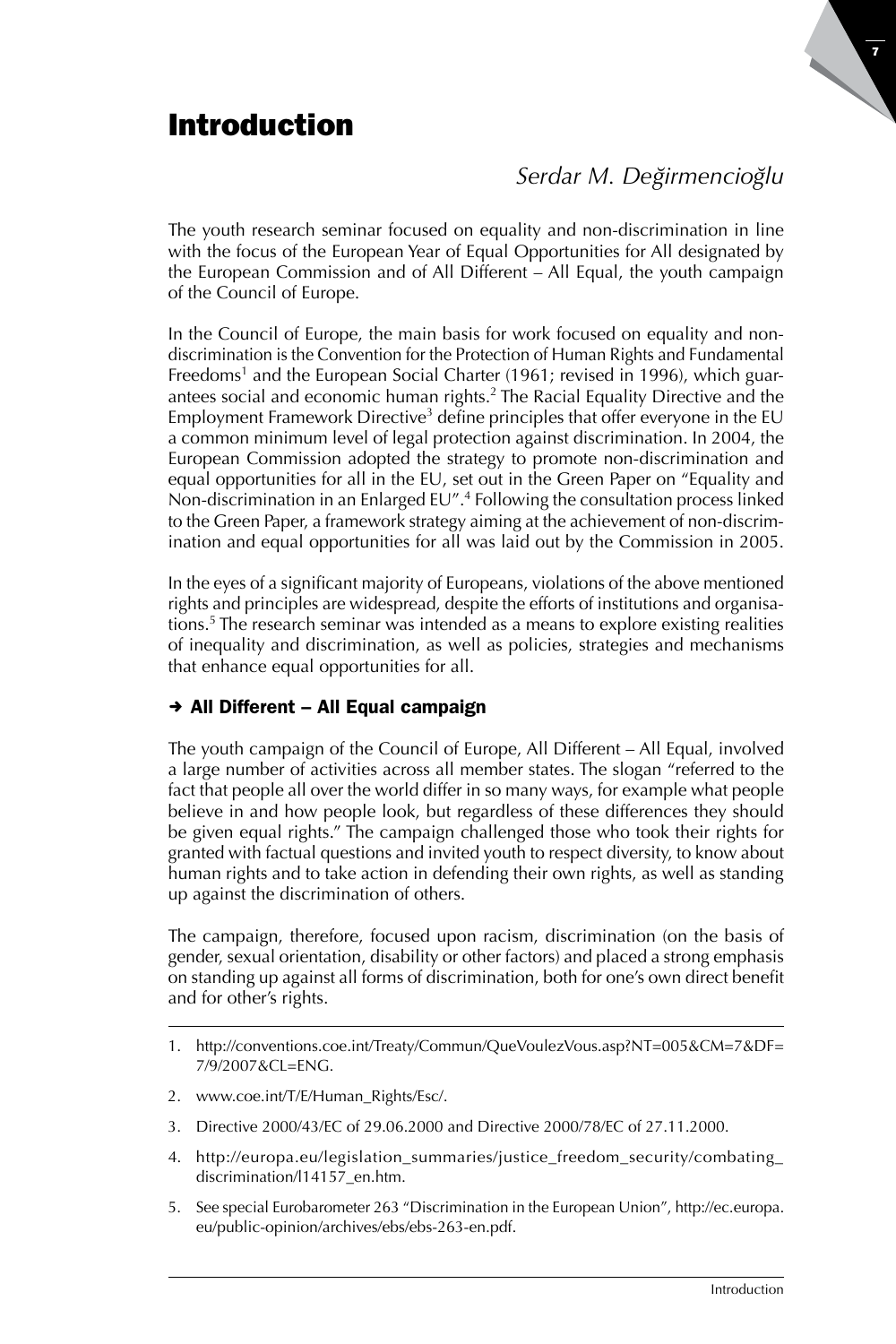# Introduction

# $Serdar M.$  *Değirmencioğlu*

The youth research seminar focused on equality and non-discrimination in line with the focus of the European Year of Equal Opportunities for All designated by the European Commission and of All Different – All Equal, the youth campaign of the Council of Europe.

In the Council of Europe, the main basis for work focused on equality and nondiscrimination is the Convention for the Protection of Human Rights and Fundamental Freedoms<sup>1</sup> and the European Social Charter (1961; revised in 1996), which guarantees social and economic human rights.<sup>2</sup> The Racial Equality Directive and the Employment Framework Directive<sup>3</sup> define principles that offer everyone in the EU a common minimum level of legal protection against discrimination. In 2004, the European Commission adopted the strategy to promote non-discrimination and equal opportunities for all in the EU, set out in the Green Paper on "Equality and Non-discrimination in an Enlarged EU".4 Following the consultation process linked to the Green Paper, a framework strategy aiming at the achievement of non-discrimination and equal opportunities for all was laid out by the Commission in 2005.

In the eyes of a significant majority of Europeans, violations of the above mentioned rights and principles are widespread, despite the efforts of institutions and organisations.<sup>5</sup> The research seminar was intended as a means to explore existing realities of inequality and discrimination, as well as policies, strategies and mechanisms that enhance equal opportunities for all.

## $\rightarrow$  All Different – All Equal campaign

The youth campaign of the Council of Europe, All Different – All Equal, involved a large number of activities across all member states. The slogan "referred to the fact that people all over the world differ in so many ways, for example what people believe in and how people look, but regardless of these differences they should be given equal rights." The campaign challenged those who took their rights for granted with factual questions and invited youth to respect diversity, to know about human rights and to take action in defending their own rights, as well as standing up against the discrimination of others.

The campaign, therefore, focused upon racism, discrimination (on the basis of gender, sexual orientation, disability or other factors) and placed a strong emphasis on standing up against all forms of discrimination, both for one's own direct benefit and for other's rights.

- 2. www.coe.int/T/E/Human\_Rights/Esc/.
- 3. Directive 2000/43/EC of 29.06.2000 and Directive 2000/78/EC of 27.11.2000.
- 4. http://europa.eu/legislation\_summaries/justice\_freedom\_security/combating\_ discrimination/l14157\_en.htm.
- 5. See special Eurobarometer 263 "Discrimination in the European Union", http://ec.europa. eu/public-opinion/archives/ebs/ebs-263-en.pdf.

<sup>1.</sup> http://conventions.coe.int/Treaty/Commun/QueVoulezVous.asp?NT=005&CM=7&DF= 7/9/2007&CL=ENG.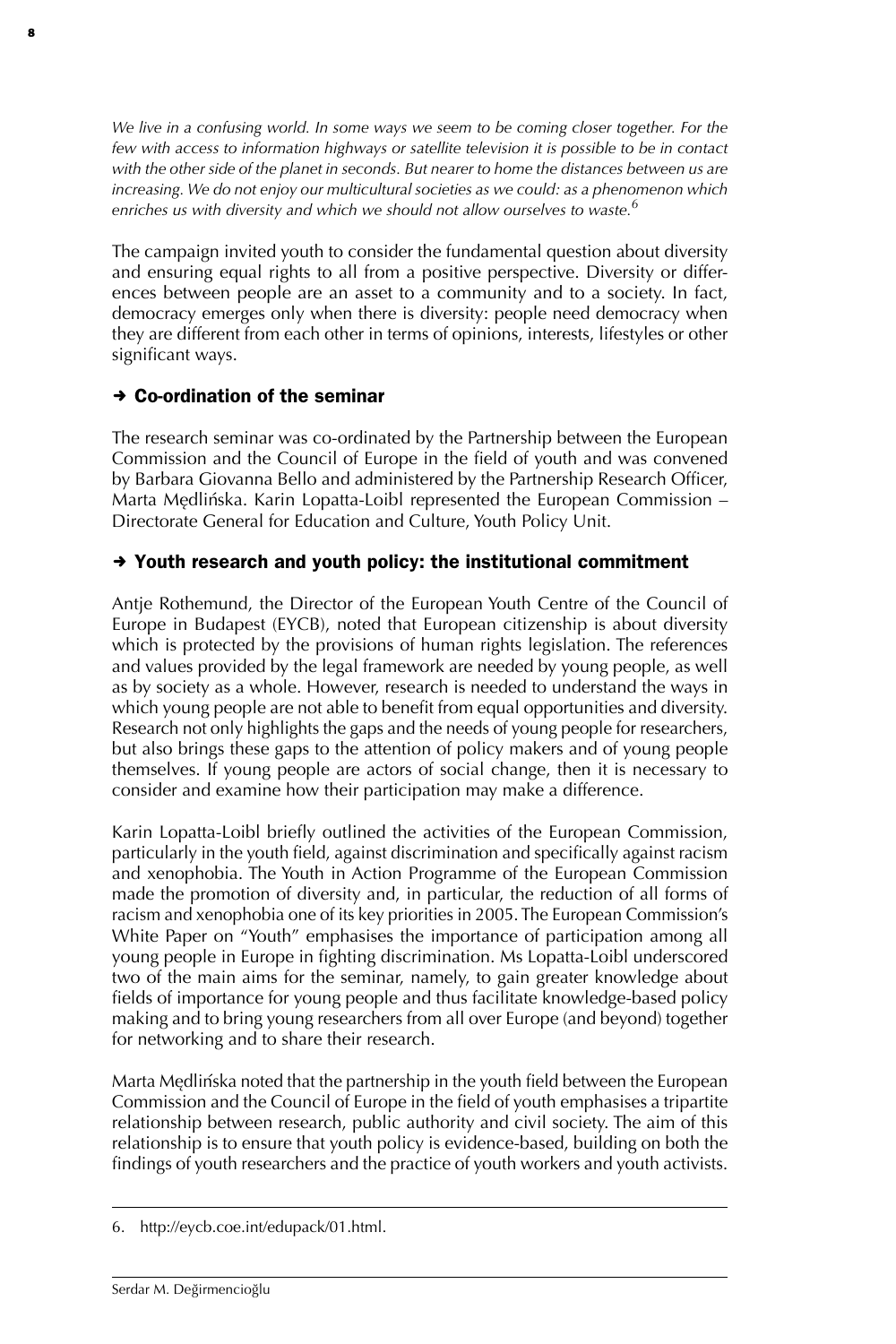*We live in a confusing world. In some ways we seem to be coming closer together. For the few with access to information highways or satellite television it is possible to be in contact with the other side of the planet in seconds. But nearer to home the distances between us are increasing. We do not enjoy our multicultural societies as we could: as a phenomenon which enriches us with diversity and which we should not allow ourselves to waste.6*

The campaign invited youth to consider the fundamental question about diversity and ensuring equal rights to all from a positive perspective. Diversity or differences between people are an asset to a community and to a society. In fact, democracy emerges only when there is diversity: people need democracy when they are different from each other in terms of opinions, interests, lifestyles or other significant ways.

#### $\rightarrow$  Co-ordination of the seminar

8

The research seminar was co-ordinated by the Partnership between the European Commission and the Council of Europe in the field of youth and was convened by Barbara Giovanna Bello and administered by the Partnership Research Officer, Marta Mędlińska. Karin Lopatta-Loibl represented the European Commission – Directorate General for Education and Culture, Youth Policy Unit.

### $\rightarrow$  Youth research and youth policy: the institutional commitment

Antje Rothemund, the Director of the European Youth Centre of the Council of Europe in Budapest (EYCB), noted that European citizenship is about diversity which is protected by the provisions of human rights legislation. The references and values provided by the legal framework are needed by young people, as well as by society as a whole. However, research is needed to understand the ways in which young people are not able to benefit from equal opportunities and diversity. Research not only highlights the gaps and the needs of young people for researchers, but also brings these gaps to the attention of policy makers and of young people themselves. If young people are actors of social change, then it is necessary to consider and examine how their participation may make a difference.

Karin Lopatta-Loibl briefly outlined the activities of the European Commission, particularly in the youth field, against discrimination and specifically against racism and xenophobia. The Youth in Action Programme of the European Commission made the promotion of diversity and, in particular, the reduction of all forms of racism and xenophobia one of its key priorities in 2005. The European Commission's White Paper on "Youth" emphasises the importance of participation among all young people in Europe in fighting discrimination. Ms Lopatta-Loibl underscored two of the main aims for the seminar, namely, to gain greater knowledge about fields of importance for young people and thus facilitate knowledge-based policy making and to bring young researchers from all over Europe (and beyond) together for networking and to share their research.

Marta Mędlińska noted that the partnership in the youth field between the European Commission and the Council of Europe in the field of youth emphasises a tripartite relationship between research, public authority and civil society. The aim of this relationship is to ensure that youth policy is evidence-based, building on both the findings of youth researchers and the practice of youth workers and youth activists.

<sup>6.</sup> http://eycb.coe.int/edupack/01.html.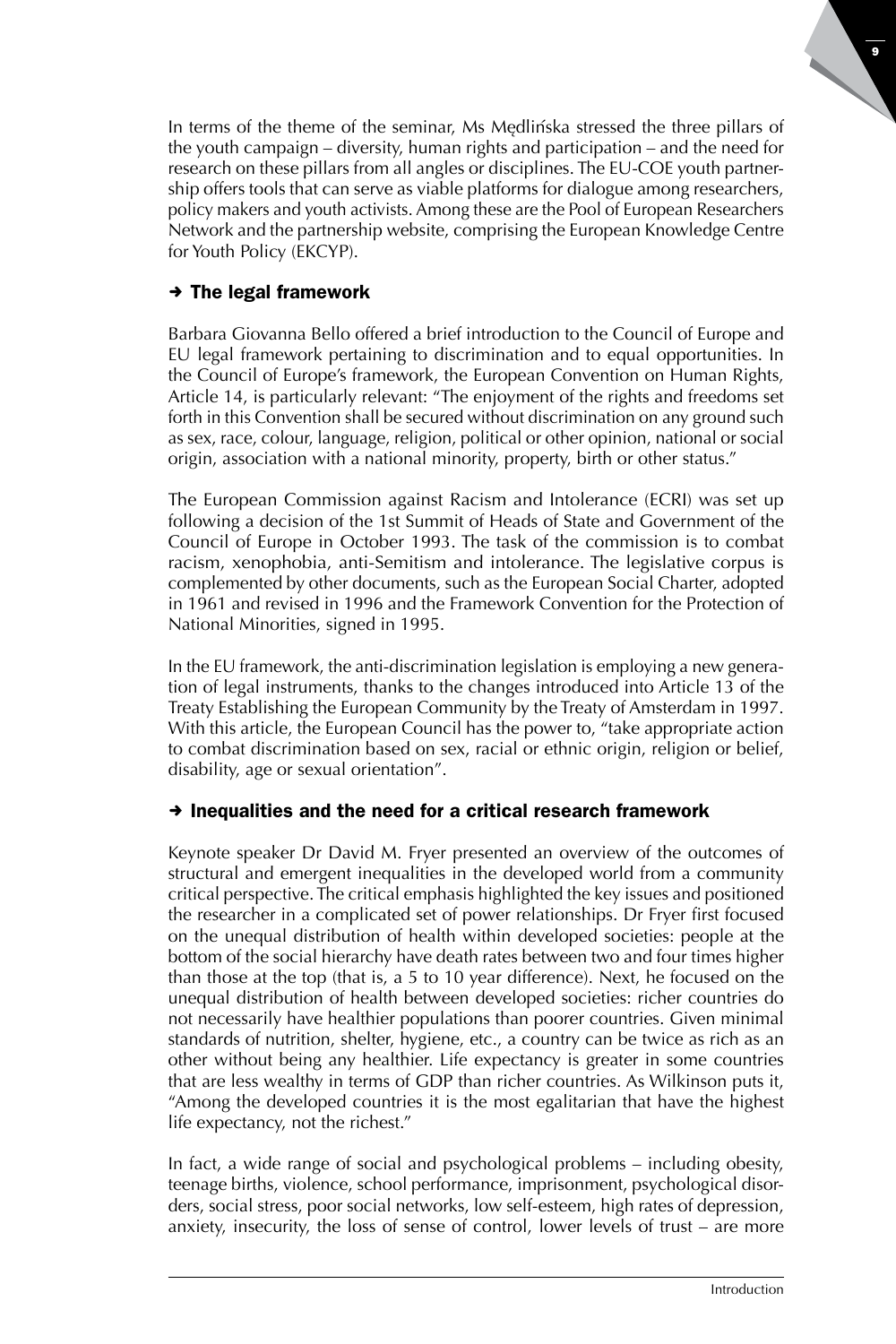In terms of the theme of the seminar, Ms Mędlińska stressed the three pillars of the youth campaign – diversity, human rights and participation – and the need for research on these pillars from all angles or disciplines. The EU-COE youth partnership offers tools that can serve as viable platforms for dialogue among researchers, policy makers and youth activists. Among these are the Pool of European Researchers Network and the partnership website, comprising the European Knowledge Centre for Youth Policy (EKCYP).

## $\rightarrow$  The legal framework

Barbara Giovanna Bello offered a brief introduction to the Council of Europe and EU legal framework pertaining to discrimination and to equal opportunities. In the Council of Europe's framework, the European Convention on Human Rights, Article 14, is particularly relevant: "The enjoyment of the rights and freedoms set forth in this Convention shall be secured without discrimination on any ground such as sex, race, colour, language, religion, political or other opinion, national or social origin, association with a national minority, property, birth or other status."

The European Commission against Racism and Intolerance (ECRI) was set up following a decision of the 1st Summit of Heads of State and Government of the Council of Europe in October 1993. The task of the commission is to combat racism, xenophobia, anti-Semitism and intolerance. The legislative corpus is complemented by other documents, such as the European Social Charter, adopted in 1961 and revised in 1996 and the Framework Convention for the Protection of National Minorities, signed in 1995.

In the EU framework, the anti-discrimination legislation is employing a new generation of legal instruments, thanks to the changes introduced into Article 13 of the Treaty Establishing the European Community by the Treaty of Amsterdam in 1997. With this article, the European Council has the power to, "take appropriate action to combat discrimination based on sex, racial or ethnic origin, religion or belief, disability, age or sexual orientation".

#### $\rightarrow$  Inequalities and the need for a critical research framework

Keynote speaker Dr David M. Fryer presented an overview of the outcomes of structural and emergent inequalities in the developed world from a community critical perspective. The critical emphasis highlighted the key issues and positioned the researcher in a complicated set of power relationships. Dr Fryer first focused on the unequal distribution of health within developed societies: people at the bottom of the social hierarchy have death rates between two and four times higher than those at the top (that is, a 5 to 10 year difference). Next, he focused on the unequal distribution of health between developed societies: richer countries do not necessarily have healthier populations than poorer countries. Given minimal standards of nutrition, shelter, hygiene, etc., a country can be twice as rich as an other without being any healthier. Life expectancy is greater in some countries that are less wealthy in terms of GDP than richer countries. As Wilkinson puts it, "Among the developed countries it is the most egalitarian that have the highest life expectancy, not the richest."

In fact, a wide range of social and psychological problems – including obesity, teenage births, violence, school performance, imprisonment, psychological disorders, social stress, poor social networks, low self-esteem, high rates of depression, anxiety, insecurity, the loss of sense of control, lower levels of trust – are more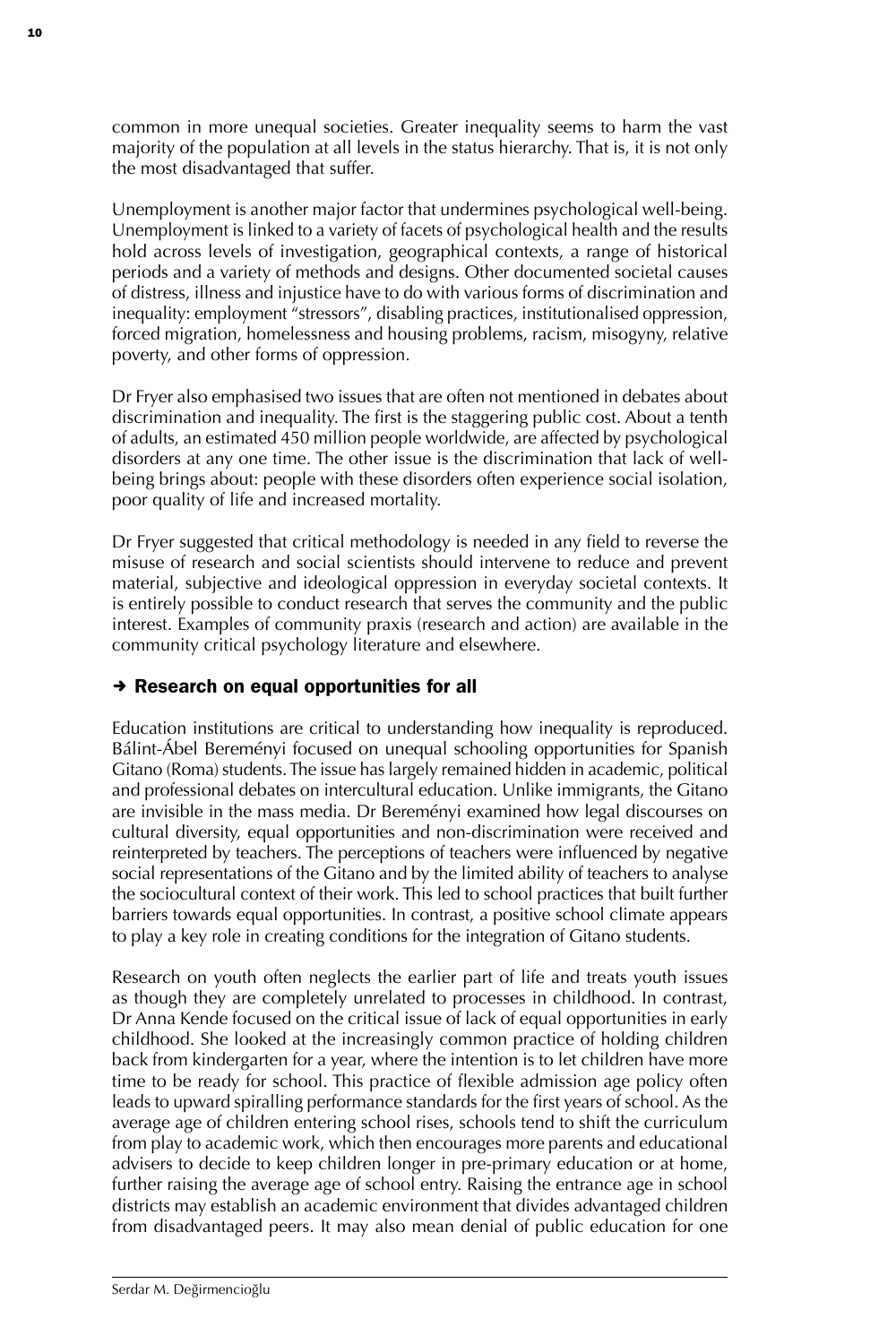common in more unequal societies. Greater inequality seems to harm the vast majority of the population at all levels in the status hierarchy. That is, it is not only the most disadvantaged that suffer.

Unemployment is another major factor that undermines psychological well-being. Unemployment is linked to a variety of facets of psychological health and the results hold across levels of investigation, geographical contexts, a range of historical periods and a variety of methods and designs. Other documented societal causes of distress, illness and injustice have to do with various forms of discrimination and inequality: employment "stressors", disabling practices, institutionalised oppression, forced migration, homelessness and housing problems, racism, misogyny, relative poverty, and other forms of oppression.

Dr Fryer also emphasised two issues that are often not mentioned in debates about discrimination and inequality. The first is the staggering public cost. About a tenth of adults, an estimated 450 million people worldwide, are affected by psychological disorders at any one time. The other issue is the discrimination that lack of wellbeing brings about: people with these disorders often experience social isolation, poor quality of life and increased mortality.

Dr Fryer suggested that critical methodology is needed in any field to reverse the misuse of research and social scientists should intervene to reduce and prevent material, subjective and ideological oppression in everyday societal contexts. It is entirely possible to conduct research that serves the community and the public interest. Examples of community praxis (research and action) are available in the community critical psychology literature and elsewhere.

#### $\rightarrow$  Research on equal opportunities for all

Education institutions are critical to understanding how inequality is reproduced. Bálint-Ábel Bereményi focused on unequal schooling opportunities for Spanish Gitano (Roma) students. The issue has largely remained hidden in academic, political and professional debates on intercultural education. Unlike immigrants, the Gitano are invisible in the mass media. Dr Bereményi examined how legal discourses on cultural diversity, equal opportunities and non-discrimination were received and reinterpreted by teachers. The perceptions of teachers were influenced by negative social representations of the Gitano and by the limited ability of teachers to analyse the sociocultural context of their work. This led to school practices that built further barriers towards equal opportunities. In contrast, a positive school climate appears to play a key role in creating conditions for the integration of Gitano students.

Research on youth often neglects the earlier part of life and treats youth issues as though they are completely unrelated to processes in childhood. In contrast, Dr Anna Kende focused on the critical issue of lack of equal opportunities in early childhood. She looked at the increasingly common practice of holding children back from kindergarten for a year, where the intention is to let children have more time to be ready for school. This practice of flexible admission age policy often leads to upward spiralling performance standards for the first years of school. As the average age of children entering school rises, schools tend to shift the curriculum from play to academic work, which then encourages more parents and educational advisers to decide to keep children longer in pre-primary education or at home, further raising the average age of school entry. Raising the entrance age in school districts may establish an academic environment that divides advantaged children from disadvantaged peers. It may also mean denial of public education for one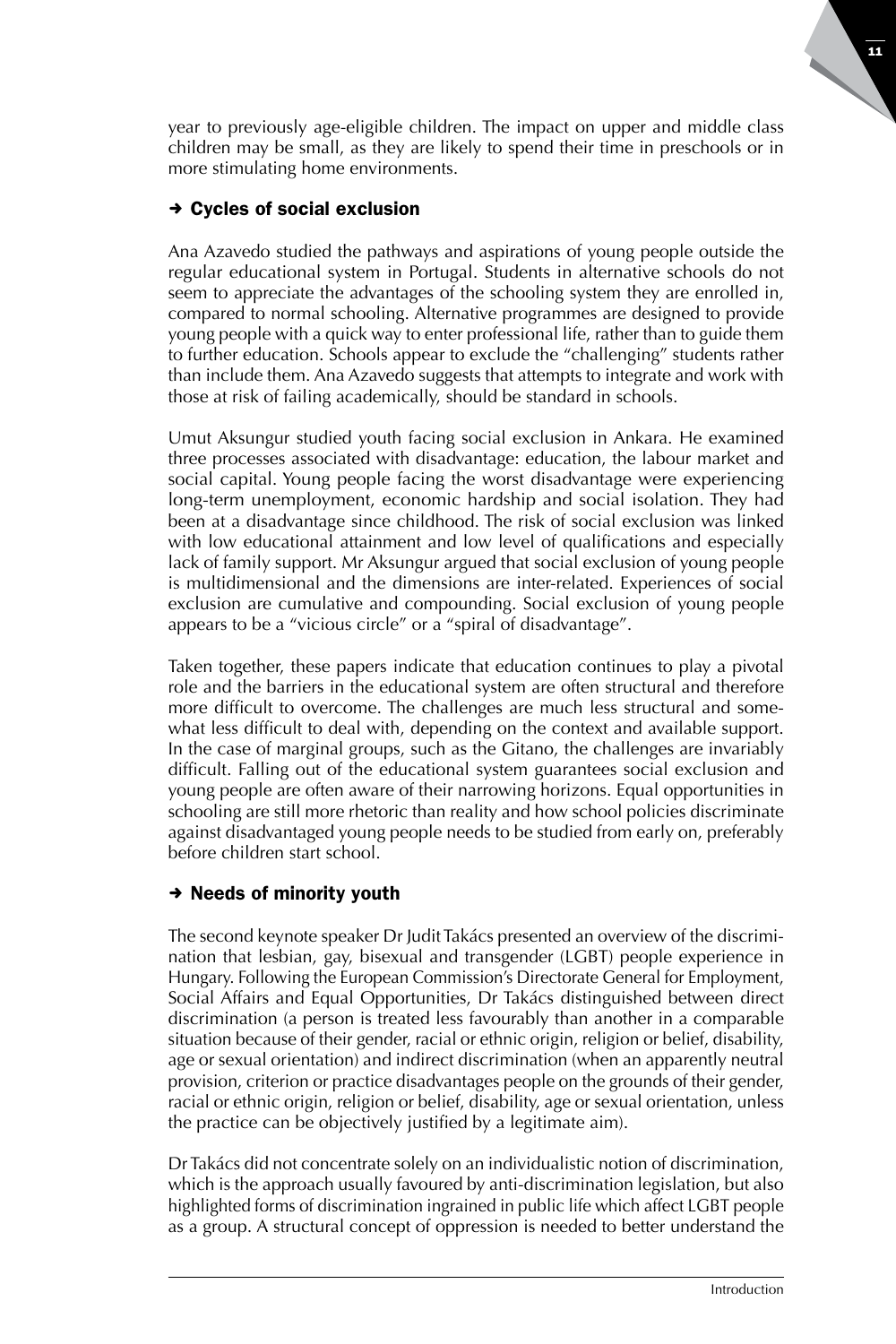11

1

year to previously age-eligible children. The impact on upper and middle class children may be small, as they are likely to spend their time in preschools or in more stimulating home environments.

# $\rightarrow$  Cycles of social exclusion

Ana Azavedo studied the pathways and aspirations of young people outside the regular educational system in Portugal. Students in alternative schools do not seem to appreciate the advantages of the schooling system they are enrolled in, compared to normal schooling. Alternative programmes are designed to provide young people with a quick way to enter professional life, rather than to guide them to further education. Schools appear to exclude the "challenging" students rather than include them. Ana Azavedo suggests that attempts to integrate and work with those at risk of failing academically, should be standard in schools.

Umut Aksungur studied youth facing social exclusion in Ankara. He examined three processes associated with disadvantage: education, the labour market and social capital. Young people facing the worst disadvantage were experiencing long-term unemployment, economic hardship and social isolation. They had been at a disadvantage since childhood. The risk of social exclusion was linked with low educational attainment and low level of qualifications and especially lack of family support. Mr Aksungur argued that social exclusion of young people is multidimensional and the dimensions are inter-related. Experiences of social exclusion are cumulative and compounding. Social exclusion of young people appears to be a "vicious circle" or a "spiral of disadvantage".

Taken together, these papers indicate that education continues to play a pivotal role and the barriers in the educational system are often structural and therefore more difficult to overcome. The challenges are much less structural and somewhat less difficult to deal with, depending on the context and available support. In the case of marginal groups, such as the Gitano, the challenges are invariably difficult. Falling out of the educational system guarantees social exclusion and young people are often aware of their narrowing horizons. Equal opportunities in schooling are still more rhetoric than reality and how school policies discriminate against disadvantaged young people needs to be studied from early on, preferably before children start school.

## $\rightarrow$  Needs of minority youth

The second keynote speaker Dr Judit Takács presented an overview of the discrimination that lesbian, gay, bisexual and transgender (LGBT) people experience in Hungary. Following the European Commission's Directorate General for Employment, Social Affairs and Equal Opportunities, Dr Takács distinguished between direct discrimination (a person is treated less favourably than another in a comparable situation because of their gender, racial or ethnic origin, religion or belief, disability, age or sexual orientation) and indirect discrimination (when an apparently neutral provision, criterion or practice disadvantages people on the grounds of their gender, racial or ethnic origin, religion or belief, disability, age or sexual orientation, unless the practice can be objectively justified by a legitimate aim).

Dr Takács did not concentrate solely on an individualistic notion of discrimination, which is the approach usually favoured by anti-discrimination legislation, but also highlighted forms of discrimination ingrained in public life which affect LGBT people as a group. A structural concept of oppression is needed to better understand the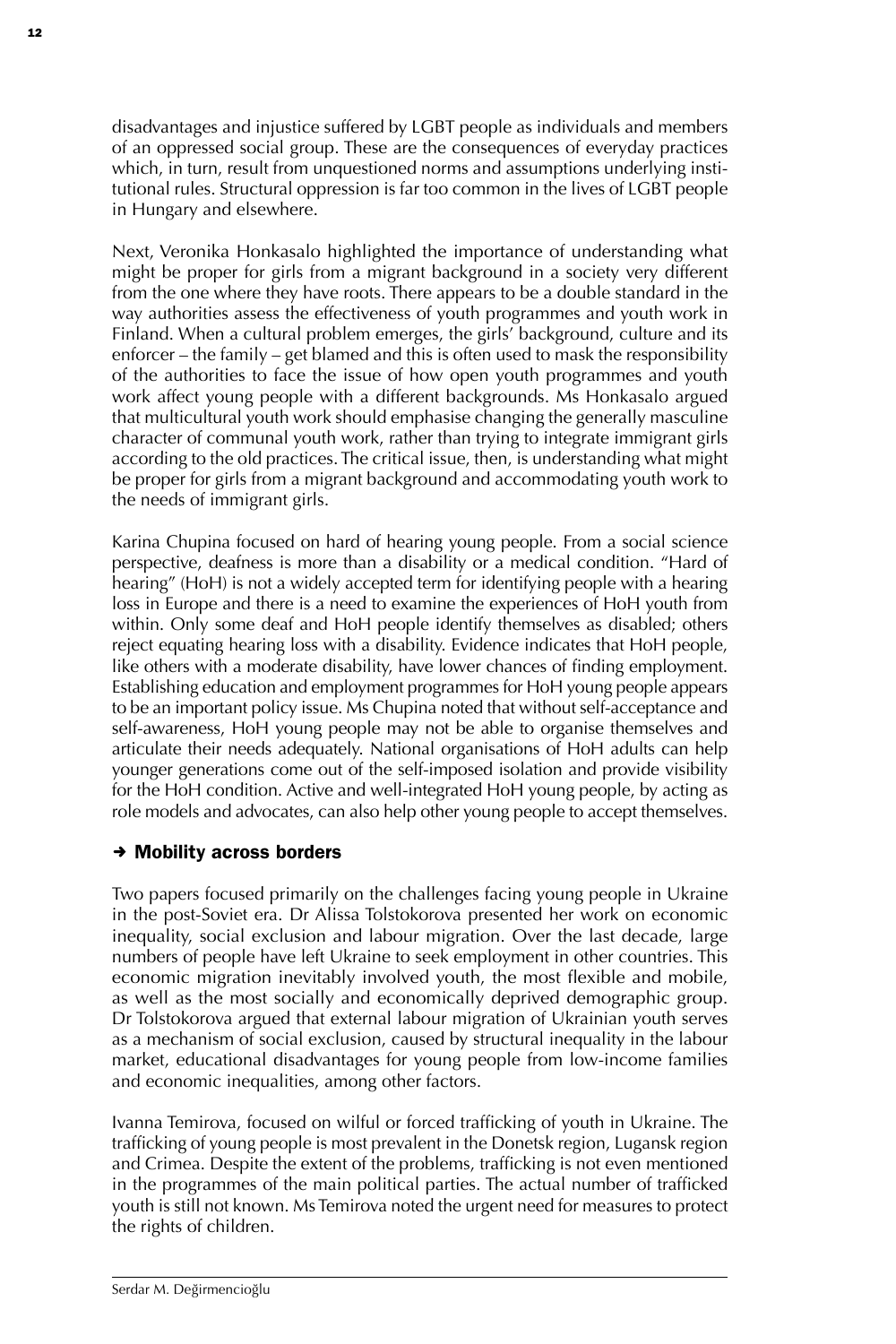disadvantages and injustice suffered by LGBT people as individuals and members of an oppressed social group. These are the consequences of everyday practices which, in turn, result from unquestioned norms and assumptions underlying institutional rules. Structural oppression is far too common in the lives of LGBT people in Hungary and elsewhere.

Next, Veronika Honkasalo highlighted the importance of understanding what might be proper for girls from a migrant background in a society very different from the one where they have roots. There appears to be a double standard in the way authorities assess the effectiveness of youth programmes and youth work in Finland. When a cultural problem emerges, the girls' background, culture and its enforcer – the family – get blamed and this is often used to mask the responsibility of the authorities to face the issue of how open youth programmes and youth work affect young people with a different backgrounds. Ms Honkasalo argued that multicultural youth work should emphasise changing the generally masculine character of communal youth work, rather than trying to integrate immigrant girls according to the old practices. The critical issue, then, is understanding what might be proper for girls from a migrant background and accommodating youth work to the needs of immigrant girls.

Karina Chupina focused on hard of hearing young people. From a social science perspective, deafness is more than a disability or a medical condition. "Hard of hearing" (HoH) is not a widely accepted term for identifying people with a hearing loss in Europe and there is a need to examine the experiences of HoH youth from within. Only some deaf and HoH people identify themselves as disabled; others reject equating hearing loss with a disability. Evidence indicates that HoH people, like others with a moderate disability, have lower chances of finding employment. Establishing education and employment programmes for HoH young people appears to be an important policy issue. Ms Chupina noted that without self-acceptance and self-awareness, HoH young people may not be able to organise themselves and articulate their needs adequately. National organisations of HoH adults can help younger generations come out of the self-imposed isolation and provide visibility for the HoH condition. Active and well-integrated HoH young people, by acting as role models and advocates, can also help other young people to accept themselves.

#### $\rightarrow$  Mobility across borders

Two papers focused primarily on the challenges facing young people in Ukraine in the post-Soviet era. Dr Alissa Tolstokorova presented her work on economic inequality, social exclusion and labour migration. Over the last decade, large numbers of people have left Ukraine to seek employment in other countries. This economic migration inevitably involved youth, the most flexible and mobile, as well as the most socially and economically deprived demographic group. Dr Tolstokorova argued that external labour migration of Ukrainian youth serves as a mechanism of social exclusion, caused by structural inequality in the labour market, educational disadvantages for young people from low-income families and economic inequalities, among other factors.

Ivanna Temirova, focused on wilful or forced trafficking of youth in Ukraine. The trafficking of young people is most prevalent in the Donetsk region, Lugansk region and Crimea. Despite the extent of the problems, trafficking is not even mentioned in the programmes of the main political parties. The actual number of trafficked youth is still not known. Ms Temirova noted the urgent need for measures to protect the rights of children.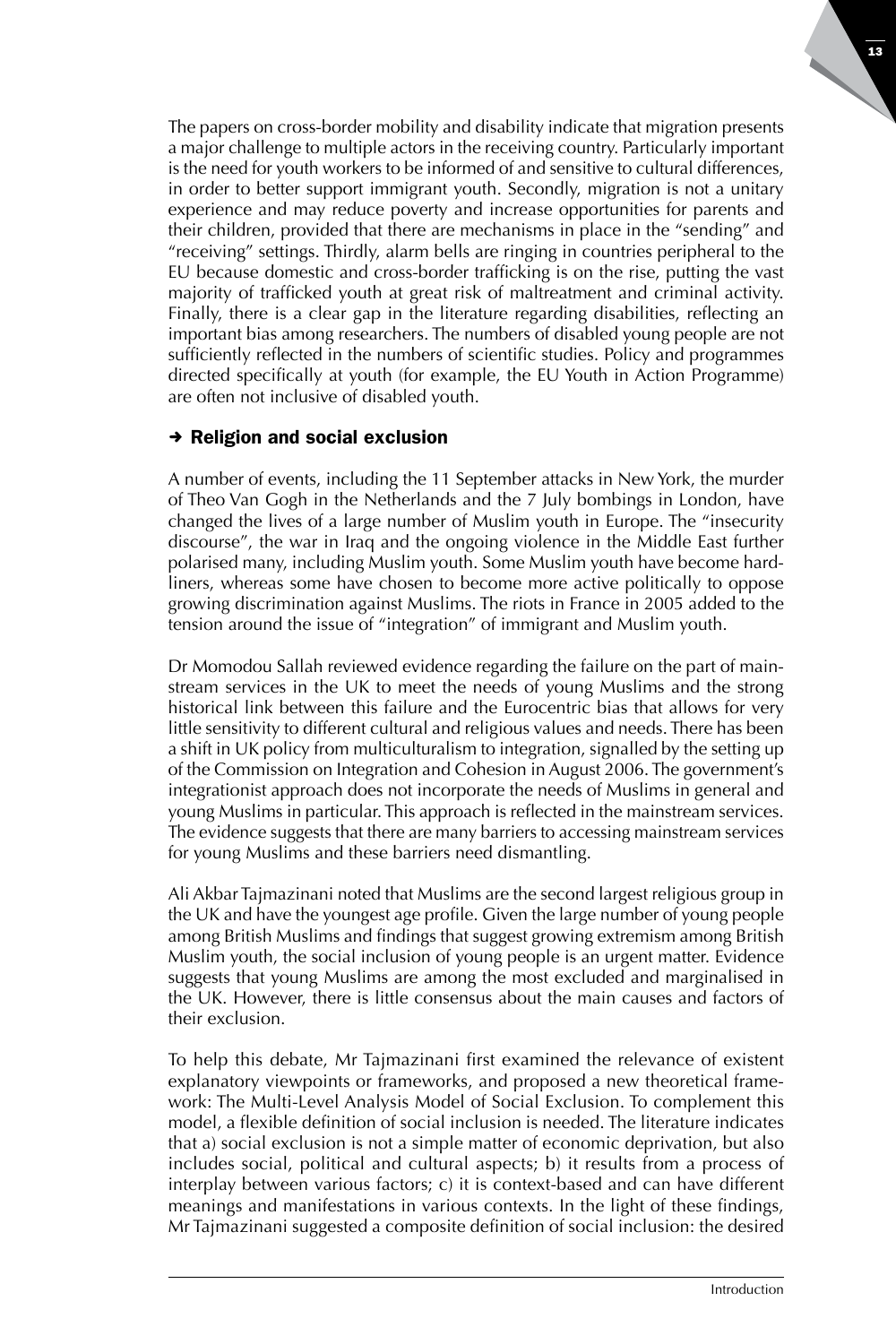The papers on cross-border mobility and disability indicate that migration presents a major challenge to multiple actors in the receiving country. Particularly important is the need for youth workers to be informed of and sensitive to cultural differences, in order to better support immigrant youth. Secondly, migration is not a unitary experience and may reduce poverty and increase opportunities for parents and their children, provided that there are mechanisms in place in the "sending" and "receiving" settings. Thirdly, alarm bells are ringing in countries peripheral to the EU because domestic and cross-border trafficking is on the rise, putting the vast majority of trafficked youth at great risk of maltreatment and criminal activity. Finally, there is a clear gap in the literature regarding disabilities, reflecting an important bias among researchers. The numbers of disabled young people are not sufficiently reflected in the numbers of scientific studies. Policy and programmes directed specifically at youth (for example, the EU Youth in Action Programme) are often not inclusive of disabled youth.

#### $\rightarrow$  Religion and social exclusion

A number of events, including the 11 September attacks in New York, the murder of Theo Van Gogh in the Netherlands and the 7 July bombings in London, have changed the lives of a large number of Muslim youth in Europe. The "insecurity discourse", the war in Iraq and the ongoing violence in the Middle East further polarised many, including Muslim youth. Some Muslim youth have become hardliners, whereas some have chosen to become more active politically to oppose growing discrimination against Muslims. The riots in France in 2005 added to the tension around the issue of "integration" of immigrant and Muslim youth.

Dr Momodou Sallah reviewed evidence regarding the failure on the part of mainstream services in the UK to meet the needs of young Muslims and the strong historical link between this failure and the Eurocentric bias that allows for very little sensitivity to different cultural and religious values and needs. There has been a shift in UK policy from multiculturalism to integration, signalled by the setting up of the Commission on Integration and Cohesion in August 2006. The government's integrationist approach does not incorporate the needs of Muslims in general and young Muslims in particular. This approach is reflected in the mainstream services. The evidence suggests that there are many barriers to accessing mainstream services for young Muslims and these barriers need dismantling.

Ali Akbar Tajmazinani noted that Muslims are the second largest religious group in the UK and have the youngest age profile. Given the large number of young people among British Muslims and findings that suggest growing extremism among British Muslim youth, the social inclusion of young people is an urgent matter. Evidence suggests that young Muslims are among the most excluded and marginalised in the UK. However, there is little consensus about the main causes and factors of their exclusion.

To help this debate, Mr Tajmazinani first examined the relevance of existent explanatory viewpoints or frameworks, and proposed a new theoretical framework: The Multi-Level Analysis Model of Social Exclusion. To complement this model, a flexible definition of social inclusion is needed. The literature indicates that a) social exclusion is not a simple matter of economic deprivation, but also includes social, political and cultural aspects; b) it results from a process of interplay between various factors; c) it is context-based and can have different meanings and manifestations in various contexts. In the light of these findings, Mr Tajmazinani suggested a composite definition of social inclusion: the desired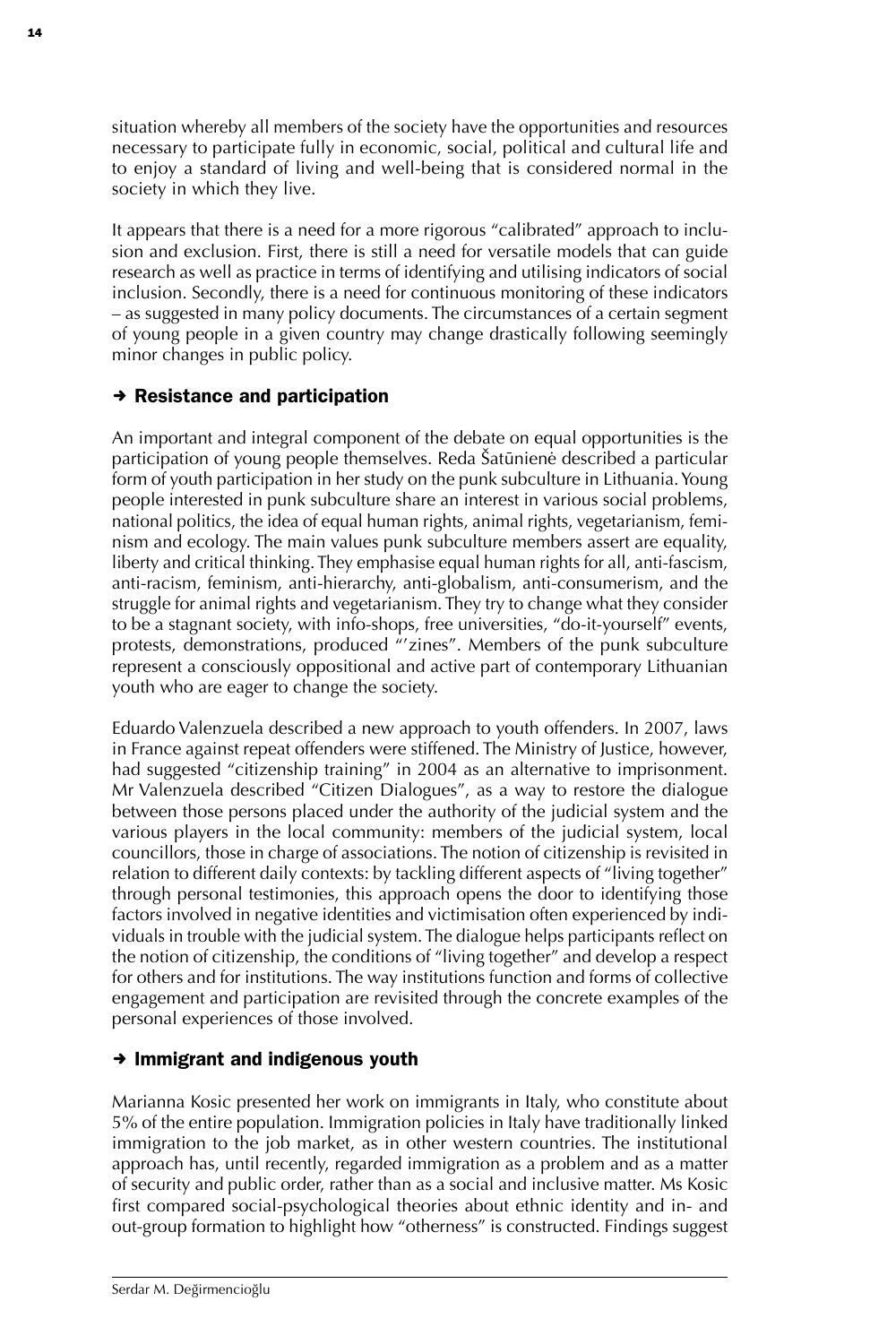situation whereby all members of the society have the opportunities and resources necessary to participate fully in economic, social, political and cultural life and to enjoy a standard of living and well-being that is considered normal in the society in which they live.

It appears that there is a need for a more rigorous "calibrated" approach to inclusion and exclusion. First, there is still a need for versatile models that can guide research as well as practice in terms of identifying and utilising indicators of social inclusion. Secondly, there is a need for continuous monitoring of these indicators – as suggested in many policy documents. The circumstances of a certain segment of young people in a given country may change drastically following seemingly minor changes in public policy.

#### $\rightarrow$  Resistance and participation

An important and integral component of the debate on equal opportunities is the participation of young people themselves. Reda Šatūnienė described a particular form of youth participation in her study on the punk subculture in Lithuania. Young people interested in punk subculture share an interest in various social problems, national politics, the idea of equal human rights, animal rights, vegetarianism, feminism and ecology. The main values punk subculture members assert are equality, liberty and critical thinking. They emphasise equal human rights for all, anti-fascism, anti-racism, feminism, anti-hierarchy, anti-globalism, anti-consumerism, and the struggle for animal rights and vegetarianism. They try to change what they consider to be a stagnant society, with info-shops, free universities, "do-it-yourself" events, protests, demonstrations, produced "'zines". Members of the punk subculture represent a consciously oppositional and active part of contemporary Lithuanian youth who are eager to change the society.

Eduardo Valenzuela described a new approach to youth offenders. In 2007, laws in France against repeat offenders were stiffened. The Ministry of Justice, however, had suggested "citizenship training" in 2004 as an alternative to imprisonment. Mr Valenzuela described "Citizen Dialogues", as a way to restore the dialogue between those persons placed under the authority of the judicial system and the various players in the local community: members of the judicial system, local councillors, those in charge of associations. The notion of citizenship is revisited in relation to different daily contexts: by tackling different aspects of "living together" through personal testimonies, this approach opens the door to identifying those factors involved in negative identities and victimisation often experienced by individuals in trouble with the judicial system. The dialogue helps participants reflect on the notion of citizenship, the conditions of "living together" and develop a respect for others and for institutions. The way institutions function and forms of collective engagement and participation are revisited through the concrete examples of the personal experiences of those involved.

#### $\rightarrow$  Immigrant and indigenous youth

Marianna Kosic presented her work on immigrants in Italy, who constitute about 5% of the entire population. Immigration policies in Italy have traditionally linked immigration to the job market, as in other western countries. The institutional approach has, until recently, regarded immigration as a problem and as a matter of security and public order, rather than as a social and inclusive matter. Ms Kosic first compared social-psychological theories about ethnic identity and in- and out-group formation to highlight how "otherness" is constructed. Findings suggest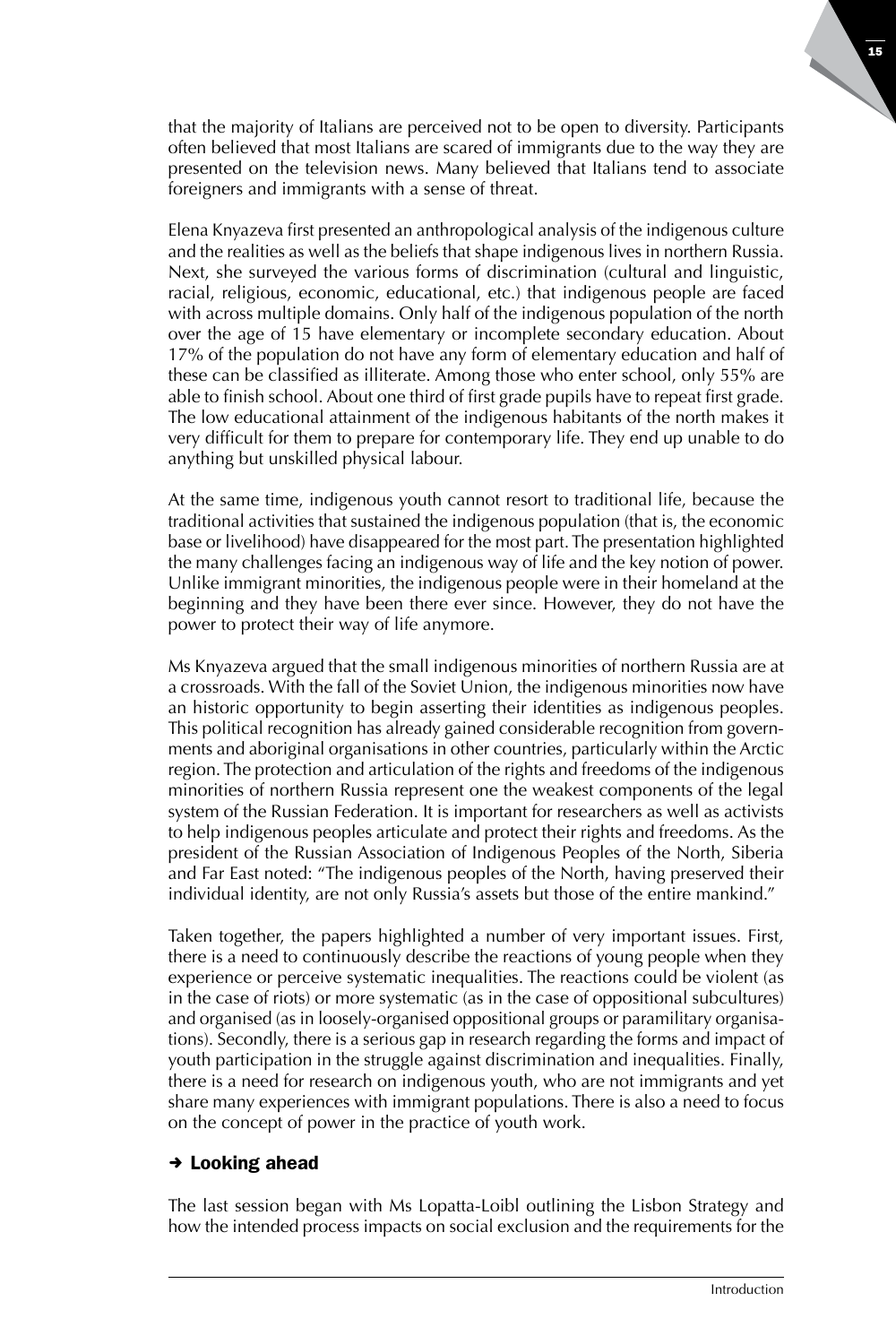that the majority of Italians are perceived not to be open to diversity. Participants often believed that most Italians are scared of immigrants due to the way they are presented on the television news. Many believed that Italians tend to associate foreigners and immigrants with a sense of threat.

Elena Knyazeva first presented an anthropological analysis of the indigenous culture and the realities as well as the beliefs that shape indigenous lives in northern Russia. Next, she surveyed the various forms of discrimination (cultural and linguistic, racial, religious, economic, educational, etc.) that indigenous people are faced with across multiple domains. Only half of the indigenous population of the north over the age of 15 have elementary or incomplete secondary education. About 17% of the population do not have any form of elementary education and half of these can be classified as illiterate. Among those who enter school, only 55% are able to finish school. About one third of first grade pupils have to repeat first grade. The low educational attainment of the indigenous habitants of the north makes it very difficult for them to prepare for contemporary life. They end up unable to do anything but unskilled physical labour.

At the same time, indigenous youth cannot resort to traditional life, because the traditional activities that sustained the indigenous population (that is, the economic base or livelihood) have disappeared for the most part. The presentation highlighted the many challenges facing an indigenous way of life and the key notion of power. Unlike immigrant minorities, the indigenous people were in their homeland at the beginning and they have been there ever since. However, they do not have the power to protect their way of life anymore.

Ms Knyazeva argued that the small indigenous minorities of northern Russia are at a crossroads. With the fall of the Soviet Union, the indigenous minorities now have an historic opportunity to begin asserting their identities as indigenous peoples. This political recognition has already gained considerable recognition from governments and aboriginal organisations in other countries, particularly within the Arctic region. The protection and articulation of the rights and freedoms of the indigenous minorities of northern Russia represent one the weakest components of the legal system of the Russian Federation. It is important for researchers as well as activists to help indigenous peoples articulate and protect their rights and freedoms. As the president of the Russian Association of Indigenous Peoples of the North, Siberia and Far East noted: "The indigenous peoples of the North, having preserved their individual identity, are not only Russia's assets but those of the entire mankind."

Taken together, the papers highlighted a number of very important issues. First, there is a need to continuously describe the reactions of young people when they experience or perceive systematic inequalities. The reactions could be violent (as in the case of riots) or more systematic (as in the case of oppositional subcultures) and organised (as in loosely-organised oppositional groups or paramilitary organisations). Secondly, there is a serious gap in research regarding the forms and impact of youth participation in the struggle against discrimination and inequalities. Finally, there is a need for research on indigenous youth, who are not immigrants and yet share many experiences with immigrant populations. There is also a need to focus on the concept of power in the practice of youth work.

#### $\rightarrow$  Looking ahead

The last session began with Ms Lopatta-Loibl outlining the Lisbon Strategy and how the intended process impacts on social exclusion and the requirements for the